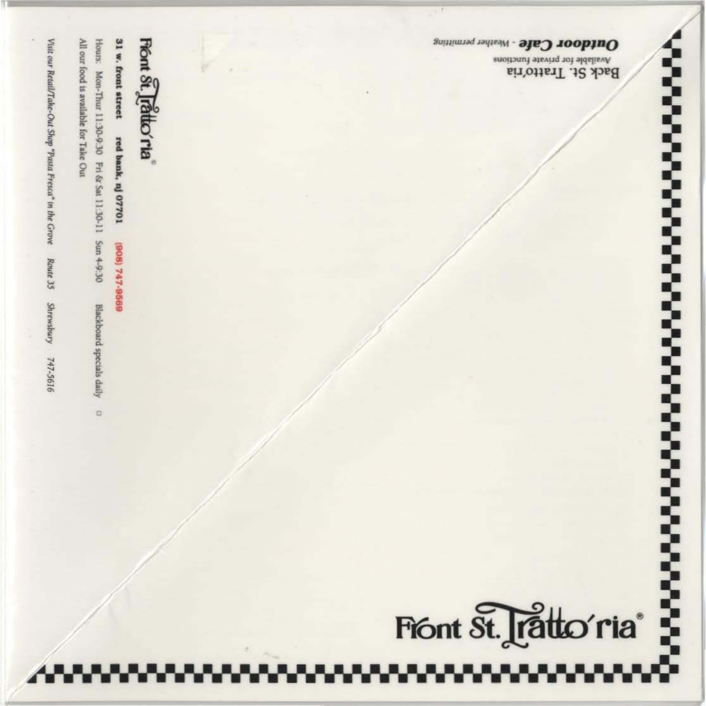**Konstantinoperation Security Security Security** 

Available for private functions Back St. Tratto'ria

Outdoor Cafe - Weather permitting

Front St. Tratto'ria<sup>®</sup>

Fiont St. rattio ria

31 w. front street red bank, nj 07701 (808) 747-8689

All our food is available for Take Out Hours: Mon-Thur 11:30-9:30 Fri & Sat 11:30-11 Sun 4-9:30

Blackboard specials daily  $\cup$ 

Visit our Retail/Take-Out Shop "Pasta Fresca" in the Grove Route 35 **Shrewsbury** 747-5616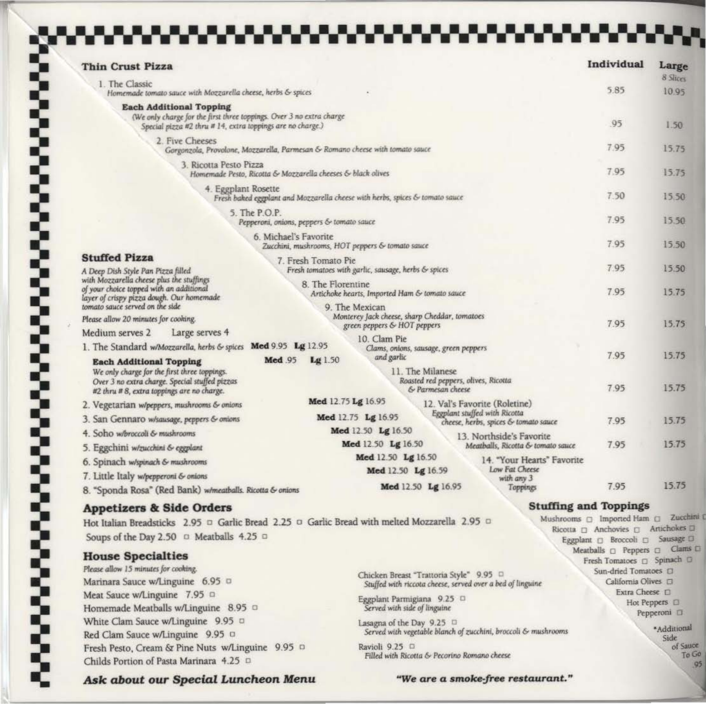| <b>Thin Crust Pizza</b>                                                                                                                                                                                                    |                                                                               |                                                                                                |                                                           |                                                               | Individual                                                                                                      | Large<br>8 Slices     |
|----------------------------------------------------------------------------------------------------------------------------------------------------------------------------------------------------------------------------|-------------------------------------------------------------------------------|------------------------------------------------------------------------------------------------|-----------------------------------------------------------|---------------------------------------------------------------|-----------------------------------------------------------------------------------------------------------------|-----------------------|
| 1. The Classic<br>Homemade tomato sauce with Mozzarella cheese, herbs & spices                                                                                                                                             |                                                                               |                                                                                                |                                                           | 5.85                                                          | 10.95                                                                                                           |                       |
| <b>Each Additional Topping</b><br>(We only charge for the first three toppings. Over 3 no extra charge<br>Special pizza #2 thru # 14, extra toppings are no charge.)                                                       |                                                                               |                                                                                                |                                                           |                                                               | .95                                                                                                             | 1.50.                 |
| 2. Five Cheeses                                                                                                                                                                                                            |                                                                               |                                                                                                |                                                           |                                                               |                                                                                                                 |                       |
|                                                                                                                                                                                                                            | Gorgonzola, Provolone, Mozzarella, Parmesan & Romano cheese with tomato sauce |                                                                                                |                                                           |                                                               | 7.95                                                                                                            | 15.75                 |
| 3. Ricotta Pesto Pizza<br>Homemade Pesto, Ricotta & Mozzarella cheeses & black olives                                                                                                                                      |                                                                               |                                                                                                |                                                           | 7.95                                                          | 15.75                                                                                                           |                       |
| 4. Eggplant Rosette                                                                                                                                                                                                        | Fresh baked eggplant and Mozzarella cheese with herbs, spices & tomato sauce  |                                                                                                |                                                           |                                                               | 7.50                                                                                                            | 15.50                 |
| 5. The P.O.P.<br>Pepperoni, onions, peppers & tomato sauce                                                                                                                                                                 |                                                                               |                                                                                                |                                                           | 7.95                                                          | 15.50                                                                                                           |                       |
|                                                                                                                                                                                                                            | 6. Michael's Favorite<br>Zucchini, mushrooms, HOT peppers & tomato sauce      |                                                                                                |                                                           |                                                               | 7.95                                                                                                            | 15.50                 |
| <b>Stuffed Pizza</b><br>A Deep Dish Style Pan Pizza filled                                                                                                                                                                 | 7. Fresh Tomato Pie<br>Fresh tomatoes with garlic, sausage, herbs & spices    |                                                                                                |                                                           |                                                               | 7.95                                                                                                            | 15.50                 |
| with Mozzarella cheese plus the stuffings<br>of your choice topped with an additional                                                                                                                                      | 8. The Florentine<br>Artichoke hearts, Imported Ham & tomato sauce            |                                                                                                |                                                           | 7.95                                                          | 15.75                                                                                                           |                       |
| layer of crispy pizza dough. Our homemade<br>tomato sauce served on the side<br>Please allow 20 minutes for cooking.                                                                                                       |                                                                               | 9. The Mexican<br>Monterey Jack cheese, sharp Cheddar, tomatoes<br>green peppers & HOT peppers |                                                           |                                                               | 7.95                                                                                                            | 15.75                 |
| Large serves 4<br>Medium serves 2                                                                                                                                                                                          |                                                                               | 10. Clam Pie                                                                                   |                                                           |                                                               |                                                                                                                 |                       |
| 1. The Standard w/Mozzarella, herbs & spices Med 9.95 Lg 12.95                                                                                                                                                             |                                                                               | Clams, onions, sausage, green peppers                                                          |                                                           |                                                               |                                                                                                                 |                       |
| <b>Each Additional Topping</b><br>We only charge for the first three toppings.<br>Over 3 no extra charge. Special stuffed pizzas                                                                                           | Med .95<br>Lg 1.50                                                            | and garlic<br>11. The Milanese                                                                 | Roasted red peppers, olives, Ricotta<br>& Parmesan cheese |                                                               | 7.95<br>7.95                                                                                                    | 15.75<br>15.75        |
| #2 thru # 8, extra toppings are no charge.                                                                                                                                                                                 | Med 12.75 Lg 16.95                                                            |                                                                                                | 12. Val's Favorite (Roletine)                             |                                                               |                                                                                                                 |                       |
| 2. Vegetarian w/peppers, mushrooms & onions                                                                                                                                                                                |                                                                               | Med 12.75 Lg 16.95                                                                             | Eggplant stuffed with Ricotta                             |                                                               |                                                                                                                 |                       |
| 3. San Gennaro w/sausage, peppers & onions<br>4. Soho w/broccoli & mushrooms                                                                                                                                               |                                                                               | Med 12.50 Lg 16.50                                                                             |                                                           | cheese, herbs, spices & tomato sauce                          | 7.95                                                                                                            | 15.75                 |
|                                                                                                                                                                                                                            |                                                                               | Med 12.50 Lg 16.50                                                                             |                                                           | 13. Northside's Favorite<br>Meatballs, Ricotta & tomato sauce | 7.95                                                                                                            | 15.75                 |
| 5. Eggchini w/zucchini & eggplant                                                                                                                                                                                          |                                                                               | Med 12.50 Lg 16.50                                                                             |                                                           | 14. "Your Hearts" Favorite                                    |                                                                                                                 |                       |
| 6. Spinach w/spinach & mushrooms                                                                                                                                                                                           |                                                                               | Med 12.50 Lg 16.59                                                                             |                                                           | Low Fat Cheese                                                |                                                                                                                 |                       |
| 7. Little Italy w/pepperoni & onions<br>8. "Sponda Rosa" (Red Bank) w/meatballs. Ricotta & onions                                                                                                                          |                                                                               | Med 12.50 Lg 16.95                                                                             |                                                           | with any 3<br>Toppings                                        | 7.95                                                                                                            | 15.75                 |
| <b>Appetizers &amp; Side Orders</b>                                                                                                                                                                                        |                                                                               |                                                                                                |                                                           |                                                               | <b>Stuffing and Toppings</b>                                                                                    |                       |
| Hot Italian Breadsticks 2.95 □ Garlic Bread 2.25 □ Garlic Bread with melted Mozzarella 2.95 □<br>Soups of the Day 2.50 <sup>o</sup> Meatballs 4.25 <sup>o</sup>                                                            |                                                                               |                                                                                                |                                                           |                                                               | Mushrooms a Imported Ham a Zucchin<br>Ricotta [ Anchovies [ Artichokes [ ]<br>Eggplant [ Broccoli [ Sausage [ ] |                       |
| <b>House Specialties</b>                                                                                                                                                                                                   |                                                                               |                                                                                                |                                                           |                                                               | Fresh Tomatoes Q Spinach Q                                                                                      |                       |
| Please allow 15 minutes for cooking.<br>Marinara Sauce w/Linguine 6.95 n<br>Meat Sauce w/Linguine 7.95 0<br>Homemade Meatballs w/Linguine 8.95 0<br>White Clam Sauce w/Linguine 9.95 0<br>Red Clam Sauce w/Linguine 9.95 0 |                                                                               | Chicken Breast "Trattoria Style" 9.95 0                                                        |                                                           |                                                               | Sun-dried Tomatoes [1]                                                                                          |                       |
|                                                                                                                                                                                                                            |                                                                               | Stuffed with riccota cheese, served over a bed of linguine                                     |                                                           |                                                               | California Olives [<br>Extra Cheese D                                                                           |                       |
|                                                                                                                                                                                                                            |                                                                               | Eggplant Parmigiana 9.25 0                                                                     |                                                           |                                                               |                                                                                                                 | Hot Peppers <b>El</b> |
|                                                                                                                                                                                                                            |                                                                               | Served with side of linguine                                                                   |                                                           |                                                               |                                                                                                                 | Pepperoni <b>II</b>   |
|                                                                                                                                                                                                                            |                                                                               | Lasagna of the Day 9.25<br>Served with vegetable blanch of zucchini, broccoli & mushrooms      |                                                           |                                                               |                                                                                                                 | *Additional<br>Side   |
| Fresh Pesto, Cream & Pine Nuts w/Linguine 9.95 D<br>Childs Portion of Pasta Marinara 4.25 0                                                                                                                                |                                                                               | Ravioli 9.25 □<br>Filled with Ricotta & Pecorino Romano cheese                                 |                                                           |                                                               |                                                                                                                 | of Sauce<br>To G<br>g |
|                                                                                                                                                                                                                            |                                                                               |                                                                                                |                                                           |                                                               |                                                                                                                 |                       |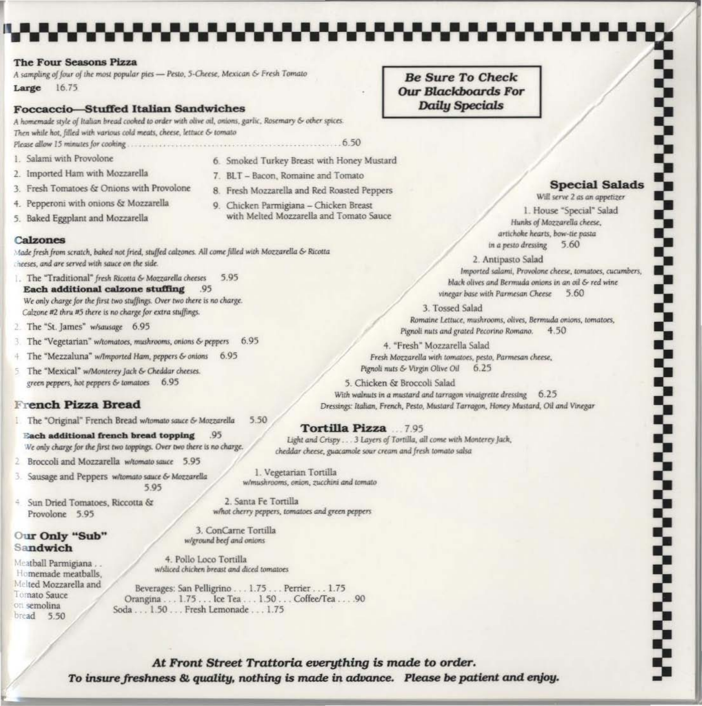#### **The Four Seasons Pizza**

A sampling of four of the most popular pies - Pesto, 5-Cheese, Mexican & Fresh Tomato

Large 16.75

#### **Foccaccio-Stuffed Italian Sandwiches**

A homemade style of Italian bread cooked to order with olive oil, onions, garlic, Rosemary & other spices. Then while hot, filled with various cold meats, cheese, lettuce & tomato 

- 1. Salami with Provolone
- 2. Imported Ham with Mozzarella
- 3. Fresh Tomatoes & Onions with Provolone
- 4. Pepperoni with onions & Mozzarella
- 5. Baked Eggplant and Mozzarella

## **Calzones**

Made fresh from scratch, baked not fried, stuffed calzones. All come filled with Mozzarella & Ricotta heeses, and are served with sauce on the side.

- 1. The "Traditional" fresh Ricotta & Mozzarella cheeses 5.95 **Each additional calzone stuffing** .95 We only charge for the first two stuffings. Over two there is no charge. Calzone #2 thru #5 there is no charge for extra stuffings.
- 2. The "St. James" w/sausage 6.95
- 3 The "Vegetarian" w/tomatoes, mushrooms, onions & peppers 6.95
- 4 The "Mezzaluna" w/Imported Ham, peppers & onions 6.95
- 5 The "Mexical" w/Monterey Jack & Cheddar cheeses. green peppers, hot peppers & tomatoes 6.95

# **French Pizza Bread**

- <sup>1</sup> The "Original" French Bread w/tomato sauce & Mozzarella 5.50
	- **Each additional french bread topping** .95 We only charge for the first two toppings. Over two there is no charge.
- 2 Broccoli and Mozzarella w/tomato sauce 5.95
- 3. Sausage and Peppers w/tomato sauce & Mozzarella 5.95
- 4 Sun Dried Tomatoes, Riccotta & Provolone 5.95

### Our Only "Sub" Sandwich

Meatball Parmigiana... Homemade meatballs. Melted Mozzarella and Tomato Sauce on semolina bread 5.50

6. Smoked Turkey Breast with Honey Mustard

- 7. BLT Bacon, Romaine and Tomato
- 8. Fresh Mozzarella and Red Roasted Peppers
- 9. Chicken Parmigiana Chicken Breast with Melted Mozzarella and Tomato Sauce
- 
- 
- 
- 

**Be Sure To Check Our Blackboards For Daily Specials** 



**Proposed Science** 

Will serve 2 as an appetizer 1. House "Special" Salad Hunks of Mozzarella cheese, artichoke hearts, bow-tie pasta in a pesto dressing 5.60

2. Antipasto Salad

Imported salami, Provolone cheese, tomatoes, cucumbers, black olives and Bermuda onions in an oil & red wine vinegar base with Parmesan Cheese 5.60

3. Tossed Salad Romaine Lettuce, mushrooms, olives, Bermuda onions, tomatoes, Pignoli nuts and grated Pecorino Romano. 4.50

4. "Fresh" Mozzarella Salad Fresh Mozzarella with tomatoes, pesto, Parmesan cheese, Pignoli nuts & Virgin Olive Oil  $6.25$ 

5. Chicken & Broccoli Salad With walnuts in a mustard and tarragon vinaigrette dressing 6.25 Dressings: Italian, French, Pesto, Mustard Tarragon, Honey Mustard, Oil and Vinegar

### Tortilla Pizza ... 7.95

Light and Crispy . . . 3 Layers of Tortilla, all come with Monterey Jack, cheddar cheese, guacamole sour cream and fresh tomato salsa

1. Vegetarian Tortilla w/mushrooms, onion, zucchini and tomato

2. Santa Fe Tortilla what cherry peppers, tomatoes and green peppers

3. ConCarne Tortilla w/ground beef and onions

4. Pollo Loco Tortilla w/sliced chicken breast and diced tomatoes

Beverages: San Pelligrino...1.75...Perrier...1.75 Orangina . . . 1.75 . . . Ice Tea . . . 1.50 . . . Coffee/Tea . . . . 90 Soda . . . 1.50 . . . Fresh Lemonade . . . 1.75

At Front Street Trattoria everything is made to order. To insure freshness & quality, nothing is made in advance. Please be patient and enjoy.